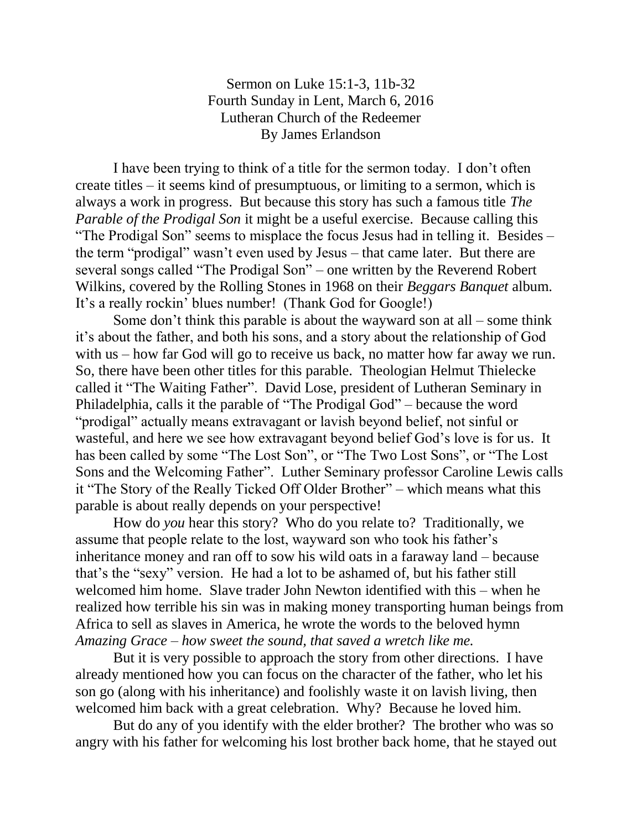Sermon on Luke 15:1-3, 11b-32 Fourth Sunday in Lent, March 6, 2016 Lutheran Church of the Redeemer By James Erlandson

I have been trying to think of a title for the sermon today. I don't often create titles – it seems kind of presumptuous, or limiting to a sermon, which is always a work in progress. But because this story has such a famous title *The Parable of the Prodigal Son* it might be a useful exercise. Because calling this "The Prodigal Son" seems to misplace the focus Jesus had in telling it. Besides – the term "prodigal" wasn't even used by Jesus – that came later. But there are several songs called "The Prodigal Son" – one written by the Reverend Robert Wilkins, covered by the Rolling Stones in 1968 on their *Beggars Banquet* album. It's a really rockin' blues number! (Thank God for Google!)

Some don't think this parable is about the wayward son at all – some think it's about the father, and both his sons, and a story about the relationship of God with us – how far God will go to receive us back, no matter how far away we run. So, there have been other titles for this parable. Theologian Helmut Thielecke called it "The Waiting Father". David Lose, president of Lutheran Seminary in Philadelphia, calls it the parable of "The Prodigal God" – because the word "prodigal" actually means extravagant or lavish beyond belief, not sinful or wasteful, and here we see how extravagant beyond belief God's love is for us. It has been called by some "The Lost Son", or "The Two Lost Sons", or "The Lost Sons and the Welcoming Father". Luther Seminary professor Caroline Lewis calls it "The Story of the Really Ticked Off Older Brother" – which means what this parable is about really depends on your perspective!

How do *you* hear this story? Who do you relate to? Traditionally, we assume that people relate to the lost, wayward son who took his father's inheritance money and ran off to sow his wild oats in a faraway land – because that's the "sexy" version. He had a lot to be ashamed of, but his father still welcomed him home. Slave trader John Newton identified with this – when he realized how terrible his sin was in making money transporting human beings from Africa to sell as slaves in America, he wrote the words to the beloved hymn *Amazing Grace – how sweet the sound, that saved a wretch like me.*

But it is very possible to approach the story from other directions. I have already mentioned how you can focus on the character of the father, who let his son go (along with his inheritance) and foolishly waste it on lavish living, then welcomed him back with a great celebration. Why? Because he loved him.

But do any of you identify with the elder brother? The brother who was so angry with his father for welcoming his lost brother back home, that he stayed out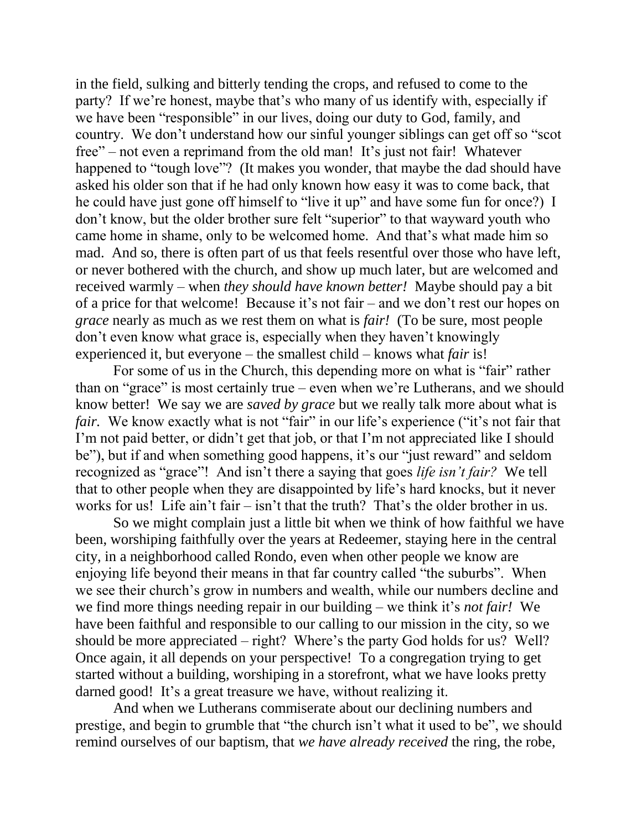in the field, sulking and bitterly tending the crops, and refused to come to the party? If we're honest, maybe that's who many of us identify with, especially if we have been "responsible" in our lives, doing our duty to God, family, and country. We don't understand how our sinful younger siblings can get off so "scot free" – not even a reprimand from the old man! It's just not fair! Whatever happened to "tough love"? (It makes you wonder, that maybe the dad should have asked his older son that if he had only known how easy it was to come back, that he could have just gone off himself to "live it up" and have some fun for once?) I don't know, but the older brother sure felt "superior" to that wayward youth who came home in shame, only to be welcomed home. And that's what made him so mad. And so, there is often part of us that feels resentful over those who have left, or never bothered with the church, and show up much later, but are welcomed and received warmly – when *they should have known better!* Maybe should pay a bit of a price for that welcome! Because it's not fair – and we don't rest our hopes on *grace* nearly as much as we rest them on what is *fair!* (To be sure, most people don't even know what grace is, especially when they haven't knowingly experienced it, but everyone – the smallest child – knows what *fair* is!

For some of us in the Church, this depending more on what is "fair" rather than on "grace" is most certainly true – even when we're Lutherans, and we should know better! We say we are *saved by grace* but we really talk more about what is *fair.* We know exactly what is not "fair" in our life's experience ("it's not fair that I'm not paid better, or didn't get that job, or that I'm not appreciated like I should be"), but if and when something good happens, it's our "just reward" and seldom recognized as "grace"! And isn't there a saying that goes *life isn't fair?* We tell that to other people when they are disappointed by life's hard knocks, but it never works for us! Life ain't fair – isn't that the truth? That's the older brother in us.

So we might complain just a little bit when we think of how faithful we have been, worshiping faithfully over the years at Redeemer, staying here in the central city, in a neighborhood called Rondo, even when other people we know are enjoying life beyond their means in that far country called "the suburbs". When we see their church's grow in numbers and wealth, while our numbers decline and we find more things needing repair in our building – we think it's *not fair!* We have been faithful and responsible to our calling to our mission in the city, so we should be more appreciated – right? Where's the party God holds for us? Well? Once again, it all depends on your perspective! To a congregation trying to get started without a building, worshiping in a storefront, what we have looks pretty darned good! It's a great treasure we have, without realizing it.

And when we Lutherans commiserate about our declining numbers and prestige, and begin to grumble that "the church isn't what it used to be", we should remind ourselves of our baptism, that *we have already received* the ring, the robe,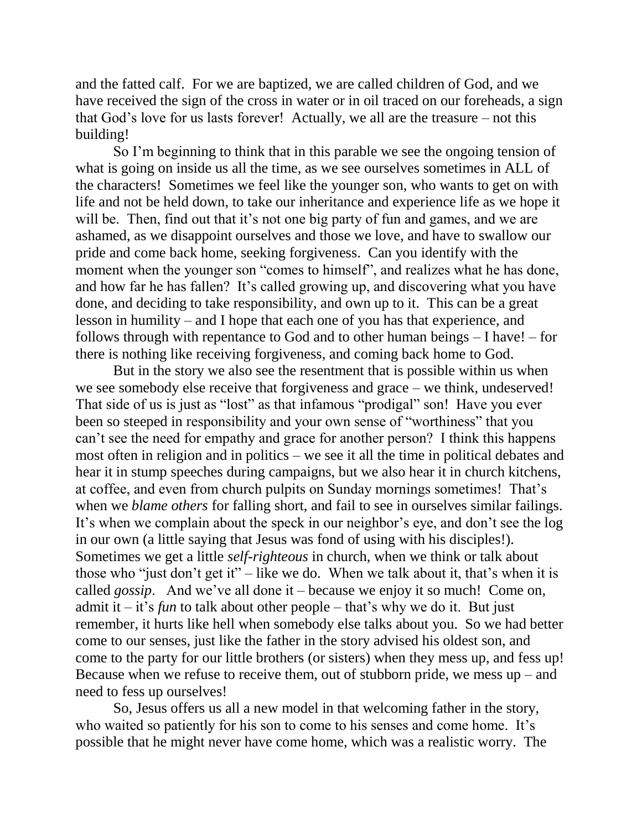and the fatted calf. For we are baptized, we are called children of God, and we have received the sign of the cross in water or in oil traced on our foreheads, a sign that God's love for us lasts forever! Actually, we all are the treasure – not this building!

So I'm beginning to think that in this parable we see the ongoing tension of what is going on inside us all the time, as we see ourselves sometimes in ALL of the characters! Sometimes we feel like the younger son, who wants to get on with life and not be held down, to take our inheritance and experience life as we hope it will be. Then, find out that it's not one big party of fun and games, and we are ashamed, as we disappoint ourselves and those we love, and have to swallow our pride and come back home, seeking forgiveness. Can you identify with the moment when the younger son "comes to himself", and realizes what he has done, and how far he has fallen? It's called growing up, and discovering what you have done, and deciding to take responsibility, and own up to it. This can be a great lesson in humility – and I hope that each one of you has that experience, and follows through with repentance to God and to other human beings – I have! – for there is nothing like receiving forgiveness, and coming back home to God.

But in the story we also see the resentment that is possible within us when we see somebody else receive that forgiveness and grace – we think, undeserved! That side of us is just as "lost" as that infamous "prodigal" son! Have you ever been so steeped in responsibility and your own sense of "worthiness" that you can't see the need for empathy and grace for another person? I think this happens most often in religion and in politics – we see it all the time in political debates and hear it in stump speeches during campaigns, but we also hear it in church kitchens, at coffee, and even from church pulpits on Sunday mornings sometimes! That's when we *blame others* for falling short, and fail to see in ourselves similar failings. It's when we complain about the speck in our neighbor's eye, and don't see the log in our own (a little saying that Jesus was fond of using with his disciples!). Sometimes we get a little *self-righteous* in church, when we think or talk about those who "just don't get it" – like we do. When we talk about it, that's when it is called *gossip*. And we've all done it – because we enjoy it so much! Come on, admit it – it's *fun* to talk about other people – that's why we do it. But just remember, it hurts like hell when somebody else talks about you. So we had better come to our senses, just like the father in the story advised his oldest son, and come to the party for our little brothers (or sisters) when they mess up, and fess up! Because when we refuse to receive them, out of stubborn pride, we mess  $up - and$ need to fess up ourselves!

So, Jesus offers us all a new model in that welcoming father in the story, who waited so patiently for his son to come to his senses and come home. It's possible that he might never have come home, which was a realistic worry. The